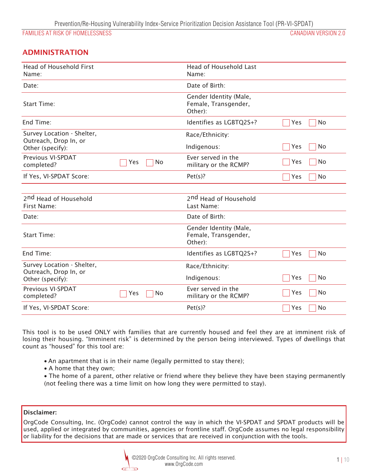## ADMINISTRATION

| <b>Head of Household First</b>                      |           | <b>Head of Household Last</b>                             |            |
|-----------------------------------------------------|-----------|-----------------------------------------------------------|------------|
| Name:                                               |           | Name:                                                     |            |
| Date:                                               |           | Date of Birth:                                            |            |
| Start Time:                                         |           | Gender Identity (Male,<br>Female, Transgender,<br>Other): |            |
| End Time:                                           |           | Identifies as LGBTQ2S+?                                   | No<br>Yes  |
| Survey Location - Shelter,<br>Outreach, Drop In, or |           | Race/Ethnicity:                                           |            |
| Other (specify):                                    |           | Indigenous:                                               | No<br>Yes  |
| Previous VI-SPDAT<br>completed?                     | No<br>Yes | Ever served in the<br>military or the RCMP?               | Yes<br>No. |
| If Yes, VI-SPDAT Score:                             |           | Pet(s)?                                                   | No<br>Yes  |
|                                                     |           |                                                           |            |
| 2 <sup>nd</sup> Head of Household<br>First Name:    |           | 2 <sup>nd</sup> Head of Household<br>Last Name:           |            |
| Date:                                               |           | Date of Birth:                                            |            |
| <b>Start Time:</b>                                  |           | Gender Identity (Male,<br>Female, Transgender,<br>Other): |            |
| End Time:                                           |           | Identifies as LGBTQ2S+?                                   | No<br>Yes  |
| Survey Location - Shelter,<br>Outreach, Drop In, or |           | Race/Ethnicity:                                           |            |
| Other (specify):                                    |           | Indigenous:                                               | Yes<br>No  |
| Previous VI-SPDAT<br>completed?                     | No<br>Yes | Ever served in the<br>military or the RCMP?               | No<br>Yes  |
| If Yes, VI-SPDAT Score:                             |           | Pet(s)?                                                   | No<br>Yes  |

*This tool is to be used ONLY with families that are currently housed and feel they are at imminent risk of losing their housing. "Imminent risk" is determined by the person being interviewed. Types of dwellings that count as "housed" for this tool are:* 

- An apartment that is in their name (legally permitted to stay there);
- v *A home that they own;*
- v *The home of a parent, other relative or friend where they believe they have been staying permanently (not feeling there was a time limit on how long they were permitted to stay).*

### Disclaimer:

*OrgCode Consulting, Inc. (OrgCode) cannot control the way in which the VI-SPDAT and SPDAT products will be used, applied or integrated by communities, agencies or frontline staff. OrgCode assumes no legal responsibility or liability for the decisions that are made or services that are received in conjunction with the tools.* 

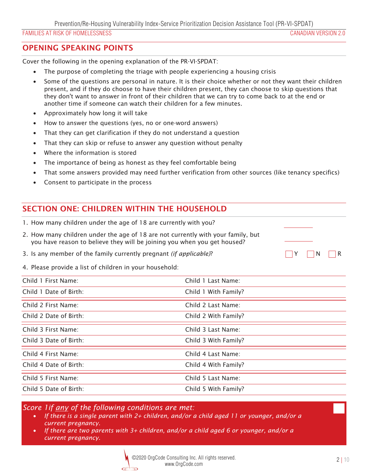# OPENING SPEAKING POINTS

*Cover the following in the opening explanation of the PR-VI-SPDAT:* 

- v *The purpose of completing the triage with people experiencing a housing crisis*
- v *Some of the questions are personal in nature. It is their choice whether or not they want their children present, and if they do choose to have their children present, they can choose to skip questions that they don't want to answer in front of their children that we can try to come back to at the end or another time if someone can watch their children for a few minutes.*
- v *Approximately how long it will take*
- *How to answer the questions (yes, no or one-word answers)*
- v *That they can get clarification if they do not understand a question*
- v *That they can skip or refuse to answer any question without penalty*
- v *Where the information is stored*
- The importance of being as honest as they feel comfortable being
- v *That some answers provided may need further verification from other sources (like tenancy specifics)*
- v *Consent to participate in the process*

# SECTION ONE: CHILDREN WITHIN THE HOUSEHOLD

|  |  |  |  |  |  | 1. How many children under the age of 18 are currently with you? |  |
|--|--|--|--|--|--|------------------------------------------------------------------|--|
|--|--|--|--|--|--|------------------------------------------------------------------|--|

- *2. How many children under the age of 18 are not currently with your family, but you have reason to believe they will be joining you when you get housed?*
- 3. Is any member of the family currently pregnant *(if applicable)*?  $\Box Y \Box Y \Box N \Box R$
- *4. Please provide a list of children in your household:*

| Child 1 First Name:    | Child 1 Last Name:   |
|------------------------|----------------------|
| Child 1 Date of Birth: | Child 1 With Family? |
| Child 2 First Name:    | Child 2 Last Name:   |
| Child 2 Date of Birth: | Child 2 With Family? |
| Child 3 First Name:    | Child 3 Last Name:   |
| Child 3 Date of Birth: | Child 3 With Family? |
| Child 4 First Name:    | Child 4 Last Name:   |
| Child 4 Date of Birth: | Child 4 With Family? |
| Child 5 First Name:    | Child 5 Last Name:   |
| Child 5 Date of Birth: | Child 5 With Family? |

*Score 1if any of the following conditions are met:* 

- *If there is a single parent with 2+ children, and/or a child aged 11 or younger, and/or a current pregnancy.*
- *If there are two parents with 3+ children, and/or a child aged 6 or younger, and/or a current pregnancy.*

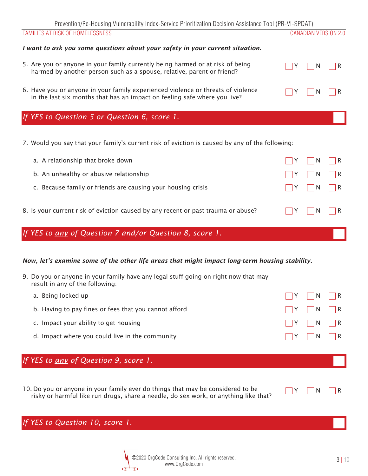## *I want to ask you some questions about your safety in your current situation.*

| 5. Are you or anyone in your family currently being harmed or at risk of being<br>harmed by another person such as a spouse, relative, parent or friend?      | $\Box Y$ $\Box N$ $\Box R$ |  |
|---------------------------------------------------------------------------------------------------------------------------------------------------------------|----------------------------|--|
| 6. Have you or anyone in your family experienced violence or threats of violence<br>in the last six months that has an impact on feeling safe where you live? | $\Box Y$ $\Box N$ $\Box R$ |  |

# *If YES to Question 5 or Question 6, score 1.*

*7. Would you say that your family's current risk of eviction is caused by any of the following:*

| If YES to any of Question 7 and/or Question 8, score 1. |                                                                                   |   |                                                       |  |
|---------------------------------------------------------|-----------------------------------------------------------------------------------|---|-------------------------------------------------------|--|
|                                                         | 8. Is your current risk of eviction caused by any recent or past trauma or abuse? | Y | $\vert$ $\vert$ N $\vert$ $\vert$ R                   |  |
|                                                         | c. Because family or friends are causing your housing crisis                      |   | Y     N     R                                         |  |
| b. An unhealthy or abusive relationship                 |                                                                                   | Y | $\vert \vert N \vert \vert R$                         |  |
| a. A relationship that broke down                       |                                                                                   |   | $\vert$ $\vert$ Y $\vert$ $\vert$ N $\vert$ $\vert$ R |  |

## *Now, let's examine some of the other life areas that might impact long-term housing stability.*

| 9. Do you or anyone in your family have any legal stuff going on right now that may |  |
|-------------------------------------------------------------------------------------|--|
| result in any of the following:                                                     |  |

| a. Being locked up                                    | $\Box Y$ $\Box N$ $\Box R$                            |  |
|-------------------------------------------------------|-------------------------------------------------------|--|
| b. Having to pay fines or fees that you cannot afford | $\vert$ $\vert$ Y $\vert$ $\vert$ N $\vert$ $\vert$ R |  |
| c. Impact your ability to get housing                 | $\Box Y$ $\Box N$ $\Box R$                            |  |
| d. Impact where you could live in the community       | $\vert$ $\vert$ Y $\vert$ $\vert$ N $\vert$ $\vert$ R |  |

# *If YES to any of Question 9, score 1.*

10. Do you or anyone in your family ever do things that may be considered to be  $\Box Y$  N R *risky or harmful like run drugs, share a needle, do sex work, or anything like that?*

*If YES to Question 10, score 1.*

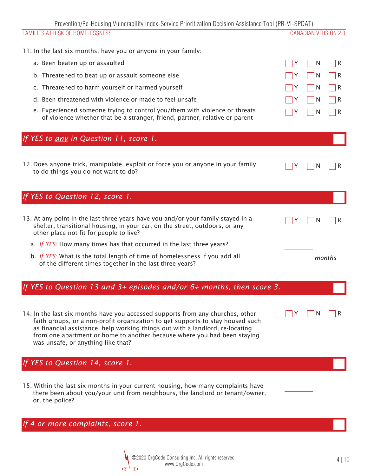Prevention/Re-Housing Vulnerability Index-Service Prioritization Decision Assistance Tool (PR-VI-SPDAT)

| <u>FIBVENINUM RE-MUUSING VUNIBIADINI MUUSS-SEIVIGE FIIUNINIZAIIUN DEGISIUN ASSISIANGE TUUL (FN-VI-SFDAT)</u><br>FAMILIES AT RISK OF HOMELESSNESS                                                                                                                                                                                                                                                                             |   | <b>CANADIAN VERSION 2.0</b> |             |
|------------------------------------------------------------------------------------------------------------------------------------------------------------------------------------------------------------------------------------------------------------------------------------------------------------------------------------------------------------------------------------------------------------------------------|---|-----------------------------|-------------|
|                                                                                                                                                                                                                                                                                                                                                                                                                              |   |                             |             |
| 11. In the last six months, have you or anyone in your family:                                                                                                                                                                                                                                                                                                                                                               |   |                             |             |
| a. Been beaten up or assaulted                                                                                                                                                                                                                                                                                                                                                                                               | Y | N                           | R           |
| b. Threatened to beat up or assault someone else                                                                                                                                                                                                                                                                                                                                                                             |   | N                           | R           |
| c. Threatened to harm yourself or harmed yourself                                                                                                                                                                                                                                                                                                                                                                            |   | N                           | R           |
| d. Been threatened with violence or made to feel unsafe                                                                                                                                                                                                                                                                                                                                                                      |   | N                           | R           |
| e. Experienced someone trying to control you/them with violence or threats<br>of violence whether that be a stranger, friend, partner, relative or parent                                                                                                                                                                                                                                                                    |   | N                           | R           |
| If YES to any in Question 11, score 1.                                                                                                                                                                                                                                                                                                                                                                                       |   |                             |             |
| 12. Does anyone trick, manipulate, exploit or force you or anyone in your family<br>to do things you do not want to do?                                                                                                                                                                                                                                                                                                      |   | N                           | к           |
| If YES to Question 12, score 1.                                                                                                                                                                                                                                                                                                                                                                                              |   |                             |             |
| 13. At any point in the last three years have you and/or your family stayed in a<br>shelter, transitional housing, in your car, on the street, outdoors, or any<br>other place not fit for people to live?<br>a. If YES: How many times has that occurred in the last three years?<br>b. If YES: What is the total length of time of homelessness if you add all<br>of the different times together in the last three years? | Y | N                           | ĸ<br>months |
| If YES to Question 13 and 3+ episodes and/or $6+$ months, then score 3.                                                                                                                                                                                                                                                                                                                                                      |   |                             |             |
| 14. In the last six months have you accessed supports from any churches, other<br>faith groups, or a non-profit organization to get supports to stay housed such<br>as financial assistance, help working things out with a landlord, re-locating<br>from one apartment or home to another because where you had been staying<br>was unsafe, or anything like that?                                                          |   |                             |             |
| If YES to Question 14, score 1.                                                                                                                                                                                                                                                                                                                                                                                              |   |                             |             |
| 15. Within the last six months in your current housing, how many complaints have<br>there been about you/your unit from neighbours, the landlord or tenant/owner,<br>or, the police?                                                                                                                                                                                                                                         |   |                             |             |
| If 4 or more complaints, score 1.                                                                                                                                                                                                                                                                                                                                                                                            |   |                             |             |

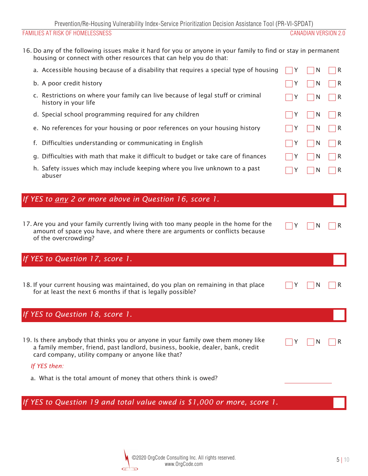*Y N R*

 *Y N R*

 *Y N R*

*16. Do any of the following issues make it hard for you or anyone in your family to find or stay in permanent housing or connect with other resources that can help you do that:*

| a. Accessible housing because of a disability that requires a special type of housing                    |   |                   | R                 |
|----------------------------------------------------------------------------------------------------------|---|-------------------|-------------------|
| b. A poor credit history                                                                                 |   | <sup>N</sup>      | IR.               |
| c. Restrictions on where your family can live because of legal stuff or criminal<br>history in your life |   | -N                | $\vert$ $\vert$ R |
| d. Special school programming required for any children                                                  |   | <b>IN</b>         | $\vert \ \vert R$ |
| e. No references for your housing or poor references on your housing history                             |   | l N               | IR.               |
| f. Difficulties understanding or communicating in English                                                | Y | $\vert$ $\vert$ N | $\vert$ $\vert$ R |
| g. Difficulties with math that make it difficult to budget or take care of finances                      |   | <sup>N</sup>      | l R               |
| h. Safety issues which may include keeping where you live unknown to a past                              |   | N                 | R                 |

# *If YES to any 2 or more above in Question 16, score 1.*

*17. Are you and your family currently living with too many people in the home for the amount of space you have, and where there are arguments or conflicts because of the overcrowding?*

# *If YES to Question 17, score 1.*

*18. If your current housing was maintained, do you plan on remaining in that place for at least the next 6 months if that is legally possible?*

# *If YES to Question 18, score 1.*

*19. Is there anybody that thinks you or anyone in your family owe them money like a family member, friend, past landlord, business, bookie, dealer, bank, credit card company, utility company or anyone like that?*

### *If YES then:*

*abuser*

*a. What is the total amount of money that others think is owed?*

*If YES to Question 19 and total value owed is \$1,000 or more, score 1.*

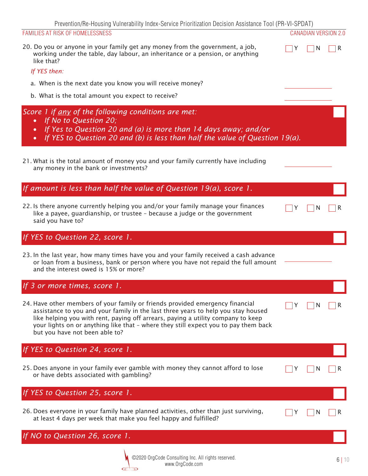Prevention/Re-Housing Vulnerability Index-Service Prioritization Decision Assistance Tool (PR-VI-SPDAT)

|  |  | <b>FAMILIES AT RISK OF HOMELESSNESS</b> |
|--|--|-----------------------------------------|
|--|--|-----------------------------------------|

| 20. Do you or anyone in your family get any money from the government, a job, |
|-------------------------------------------------------------------------------|
| working under the table, day labour, an inheritance or a pension, or anything |
| like that?                                                                    |

#### *If YES then:*

- *a. When is the next date you know you will receive money?*
- *b. What is the total amount you expect to receive?*

## *Score 1 if any of the following conditions are met:*

- *If No to Question 20;*
- *If Yes to Question 20 and (a) is more than 14 days away; and/or*
- *If YES to Question 20 and (b) is less than half the value of Question 19(a).*

| 21. What is the total amount of money you and your family currently have including |  |
|------------------------------------------------------------------------------------|--|
| any money in the bank or investments?                                              |  |

# *If amount is less than half the value of Question 19(a), score 1.*

*22. Is there anyone currently helping you and/or your family manage your finances like a payee, guardianship, or trustee – because a judge or the government said you have to?*

# *If YES to Question 22, score 1.*

| 23. In the last year, how many times have you and your family received a cash advance |  |
|---------------------------------------------------------------------------------------|--|
| or loan from a business, bank or person where you have not repaid the full amount     |  |
| and the interest owed is 15% or more?                                                 |  |

# *If 3 or more times, score 1.*

*24. Have other members of your family or friends provided emergency financial assistance to you and your family in the last three years to help you stay housed like helping you with rent, paying off arrears, paying a utility company to keep your lights on or anything like that – where they still expect you to pay them back but you have not been able to?*

# *If YES to Question 24, score 1.*

*25. Does anyone in your family ever gamble with money they cannot afford to lose or have debts associated with gambling?*

 *Y N R*

 *Y N R*

 *Y N R*

CANADIAN VERSION 2.0

 *Y N R*

*If YES to Question 25, score 1. 26. Does everyone in your family have planned activities, other than just surviving, at least 4 days per week that make you feel happy and fulfilled? Y N R If NO to Question 26, score 1.*

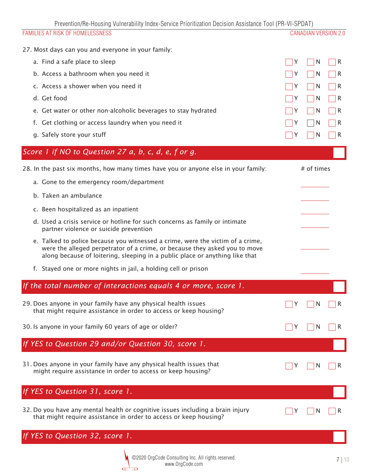Prevention/Re-Housing Vulnerability Index-Service Prioritization Decision Assistance Tool (PR-VI-SPDAT)

| $\sim$ . The contribution of the contribution of the contribution of the contribution the contribution of $\sim$ . The contribution of $\sim$ $\sim$<br>FAMILIES AT RISK OF HOMELESSNESS                                                     | <b>CANADIAN VERSION 2.0</b> |
|----------------------------------------------------------------------------------------------------------------------------------------------------------------------------------------------------------------------------------------------|-----------------------------|
| 27. Most days can you and everyone in your family:                                                                                                                                                                                           |                             |
| a. Find a safe place to sleep                                                                                                                                                                                                                | N<br>R<br>Y                 |
| b. Access a bathroom when you need it                                                                                                                                                                                                        | N<br>R                      |
| c. Access a shower when you need it                                                                                                                                                                                                          | N<br>R                      |
| d. Get food                                                                                                                                                                                                                                  | N<br>R                      |
| e. Get water or other non-alcoholic beverages to stay hydrated                                                                                                                                                                               | N<br>R                      |
| f. Get clothing or access laundry when you need it                                                                                                                                                                                           | N<br>R                      |
| g. Safely store your stuff                                                                                                                                                                                                                   | N<br>R                      |
| Score 1 if NO to Question 27 a, b, c, d, e, f or g.                                                                                                                                                                                          |                             |
| 28. In the past six months, how many times have you or anyone else in your family:                                                                                                                                                           | # of times                  |
| a. Gone to the emergency room/department                                                                                                                                                                                                     |                             |
| b. Taken an ambulance                                                                                                                                                                                                                        |                             |
| c. Been hospitalized as an inpatient                                                                                                                                                                                                         |                             |
| d. Used a crisis service or hotline for such concerns as family or intimate<br>partner violence or suicide prevention                                                                                                                        |                             |
| e. Talked to police because you witnessed a crime, were the victim of a crime,<br>were the alleged perpetrator of a crime, or because they asked you to move<br>along because of loitering, sleeping in a public place or anything like that |                             |
| f. Stayed one or more nights in jail, a holding cell or prison                                                                                                                                                                               |                             |
| If the total number of interactions equals 4 or more, score 1.                                                                                                                                                                               |                             |
| 29. Does anyone in your family have any physical health issues<br>that might require assistance in order to access or keep housing?                                                                                                          | N<br>R                      |
| 30. Is anyone in your family 60 years of age or older?                                                                                                                                                                                       | N<br>R                      |
| If YES to Question 29 and/or Question 30, score 1.                                                                                                                                                                                           |                             |
| 31. Does anyone in your family have any physical health issues that<br>might require assistance in order to access or keep housing?                                                                                                          | N                           |
| If YES to Question 31, score 1.                                                                                                                                                                                                              |                             |
| 32. Do you have any mental health or cognitive issues including a brain injury<br>that might require assistance in order to access or keep housing?                                                                                          | N                           |
| YES to Question 32, score 1.                                                                                                                                                                                                                 |                             |
| ©2020 OrgCode Consulting Inc. All rights reserved.                                                                                                                                                                                           |                             |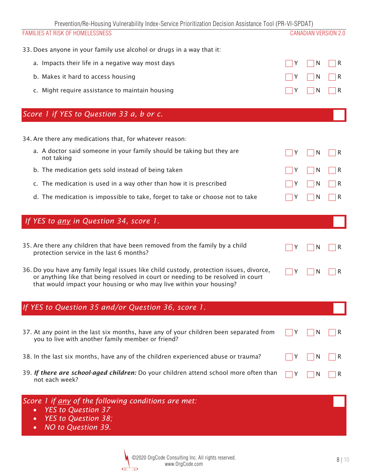| Prevention/Re-Housing Vulnerability Index-Service Prioritization Decision Assistance Tool (PR-VI-SPDAT)                                                                                                                                            |   |   |                             |
|----------------------------------------------------------------------------------------------------------------------------------------------------------------------------------------------------------------------------------------------------|---|---|-----------------------------|
| FAMILIES AT RISK OF HOMELESSNESS                                                                                                                                                                                                                   |   |   | <b>CANADIAN VERSION 2.0</b> |
| 33. Does anyone in your family use alcohol or drugs in a way that it:                                                                                                                                                                              |   |   |                             |
| a. Impacts their life in a negative way most days                                                                                                                                                                                                  | Υ | N | R                           |
| b. Makes it hard to access housing                                                                                                                                                                                                                 | Y | N | R                           |
| c. Might require assistance to maintain housing                                                                                                                                                                                                    |   | N | R                           |
| Score 1 if YES to Question 33 a, b or c.                                                                                                                                                                                                           |   |   |                             |
| 34. Are there any medications that, for whatever reason:                                                                                                                                                                                           |   |   |                             |
| a. A doctor said someone in your family should be taking but they are<br>not taking                                                                                                                                                                | Y | N | R                           |
| b. The medication gets sold instead of being taken                                                                                                                                                                                                 |   | N | R                           |
| c. The medication is used in a way other than how it is prescribed                                                                                                                                                                                 |   | N | R                           |
| d. The medication is impossible to take, forget to take or choose not to take                                                                                                                                                                      |   | N | R                           |
| If YES to any in Question 34, score 1.                                                                                                                                                                                                             |   |   |                             |
| 35. Are there any children that have been removed from the family by a child<br>protection service in the last 6 months?                                                                                                                           | Y | N | R                           |
| 36. Do you have any family legal issues like child custody, protection issues, divorce,<br>or anything like that being resolved in court or needing to be resolved in court<br>that would impact your housing or who may live within your housing? | Y | N | R                           |
| If YES to Question 35 and/or Question 36, score 1.                                                                                                                                                                                                 |   |   |                             |
| 37. At any point in the last six months, have any of your children been separated from<br>you to live with another family member or friend?                                                                                                        |   | N | R                           |
| 38. In the last six months, have any of the children experienced abuse or trauma?                                                                                                                                                                  |   | N | R                           |
| 39. If there are school-aged children: Do your children attend school more often than<br>not each week?                                                                                                                                            | Y | N | R                           |
| Score $\overline{I}$ if any of the following conditions are met:<br><b>YES to Question 37</b>                                                                                                                                                      |   |   |                             |

- *YES to Question 38;*
- *NO to Question 39.*

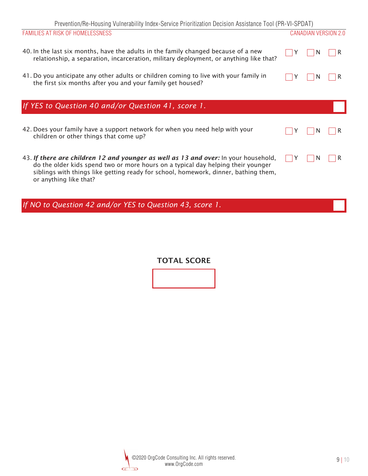| Prevention/Re-Housing Vulnerability Index-Service Prioritization Decision Assistance Tool (PR-VI-SPDAT) |  |
|---------------------------------------------------------------------------------------------------------|--|
|---------------------------------------------------------------------------------------------------------|--|

| FAMILIES AT RISK OF HOMELESSNESS                                                                                                                                                                                                                                                         |  | <b>CANADIAN VERSION 2.0</b> |
|------------------------------------------------------------------------------------------------------------------------------------------------------------------------------------------------------------------------------------------------------------------------------------------|--|-----------------------------|
| 40. In the last six months, have the adults in the family changed because of a new<br>relationship, a separation, incarceration, military deployment, or anything like that?                                                                                                             |  |                             |
| 41. Do you anticipate any other adults or children coming to live with your family in<br>the first six months after you and your family get housed?                                                                                                                                      |  | R                           |
| If YES to Question 40 and/or Question 41, score 1.                                                                                                                                                                                                                                       |  |                             |
| 42. Does your family have a support network for when you need help with your<br>children or other things that come up?                                                                                                                                                                   |  | R                           |
| 43. If there are children 12 and younger as well as 13 and over: In your household,<br>do the older kids spend two or more hours on a typical day helping their younger<br>siblings with things like getting ready for school, homework, dinner, bathing them,<br>or anything like that? |  |                             |
| If NO to Question 42 and/or YES to Question 43, score 1.                                                                                                                                                                                                                                 |  |                             |

TOTAL SCORE